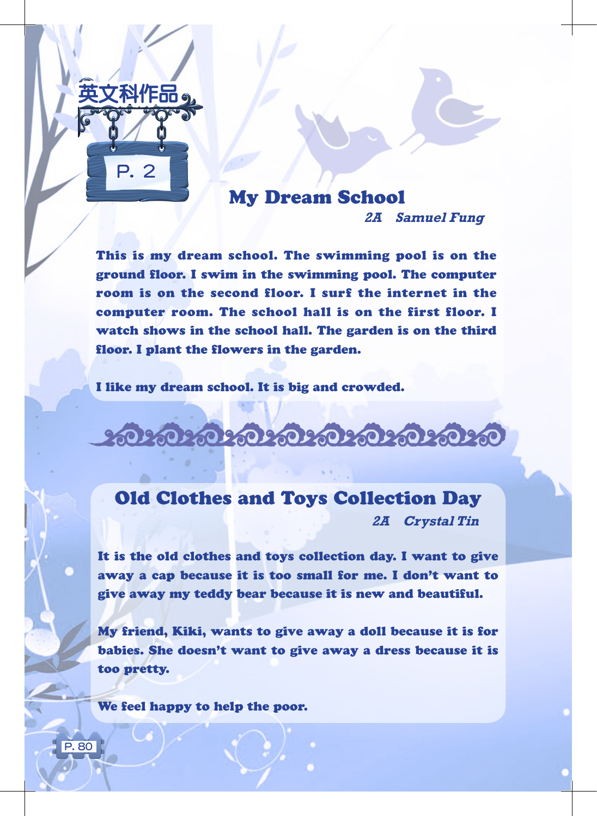

## My Dream School **2A Samuel Fung**

This is my dream school. The swimming pool is on the ground floor. I swim in the swimming pool. The computer room is on the second floor. I surf the internet in the computer room. The school hall is on the first floor. I watch shows in the school hall. The garden is on the third floor. I plant the flowers in the garden.

I like my dream school. It is big and crowded.

### ಕಂತಾಂತಿ ಸಂತಿಮಾನಿ ಸಂತಿಮಾ

#### Old Clothes and Toys Collection Day

**2A Crystal Tin**

It is the old clothes and toys collection day. I want to give away a cap because it is too small for me. I don't want to give away my teddy bear because it is new and beautiful.

My friend, Kiki, wants to give away a doll because it is for babies. She doesn't want to give away a dress because it is too pretty.

We feel happy to help the poor.

P. 80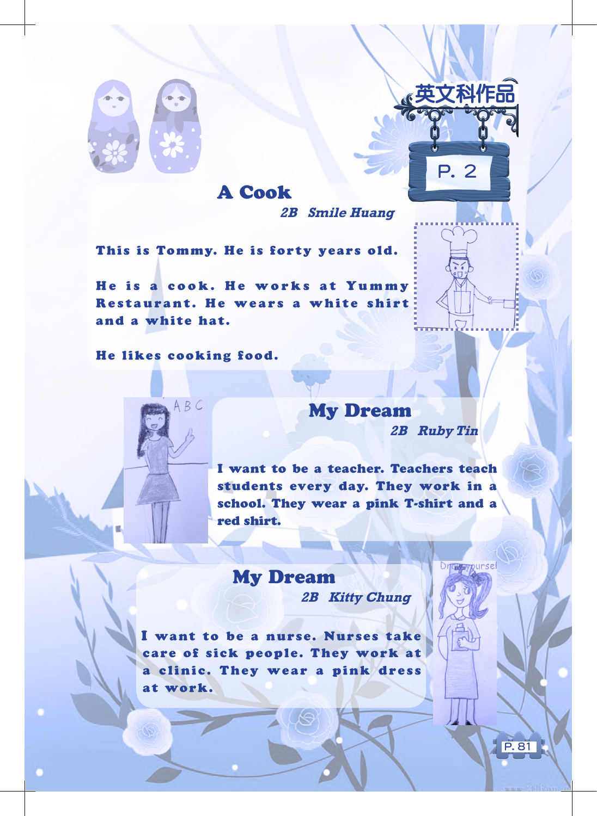

# A Cook **2B Smile Huang**

This is Tommy. He is forty years old.

He is a cook. He works at Yummy Restaurant. He wears a white shirt and a white hat.

He likes cooking food.

 $ABC$ 

My Dream **2B Ruby Tin**

英文科作品

P. 2

P. 81

**Directory** Aursel

I want to be a teacher. Teachers teach students every day. They work in a school. They wear a pink T-shirt and a red shirt.

My Dream **2B Kitty Chung**

I want to be a nurse. Nurses take care of sick people. They work at a clinic. They wear a pink dress at work.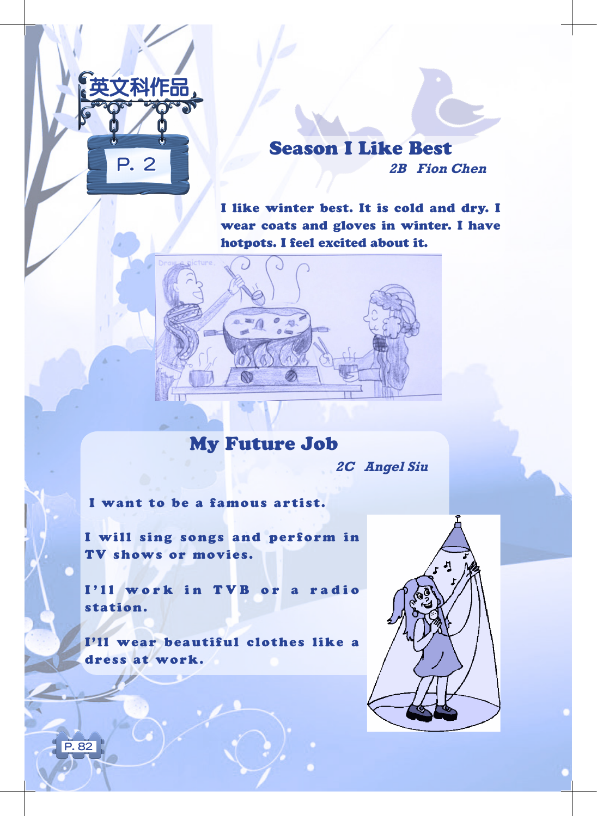

#### Season I Like Best **2B Fion Chen**

I like winter best. It is cold and dry. I wear coats and gloves in winter. I have hotpots. I feel excited about it.



My Future Job

**2C Angel Siu**

I want to be a famous artist.

I will sing songs and perform in TV shows or movies.

I'll work in TVB or a radio station.

I'll wear beautiful clothes like a dress at work.

P. 82